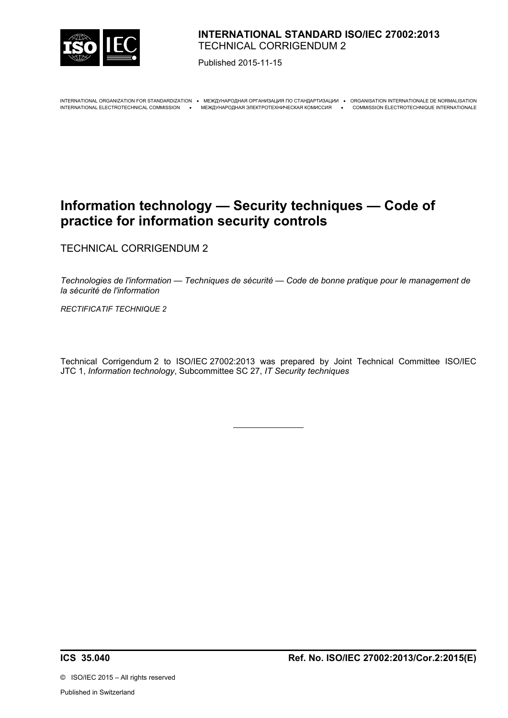

## **INTERNATIONAL STANDARD ISO/IEC 27002:2013** TECHNICAL CORRIGENDUM 2

Published 2015-11-15

INTERNATIONAL ORGANIZATION FOR STANDARDIZATION · MEЖДУНАРОДНАЯ ОРГАНИЗАЦИЯ ПО СТАНДАРТИЗАЦИИ · ORGANISATION INTERNATIONALE DE NORMALISATION INTERNATIONAL ELECTROTECHNICAL COMMISSION МЕЖДУНАРОДНАЯ ЭЛЕКТРОТЕХНИЧЕСКАЯ КОМИССИЯ COMMISSION ÉLECTROTECHNIQUE INTERNATIONALE

# **Information technology — Security techniques — Code of practice for information security controls**

TECHNICAL CORRIGENDUM 2

*Technologies de l'information — Techniques de sécurité — Code de bonne pratique pour le management de la sécurité de l'information*

*RECTIFICATIF TECHNIQUE 2*

Technical Corrigendum 2 to ISO/IEC 27002:2013 was prepared by Joint Technical Committee ISO/IEC JTC 1, *Information technology*, Subcommittee SC 27, *IT Security techniques*

 $\overline{a}$ 

©ISO/IEC 2015 – All rights reserved